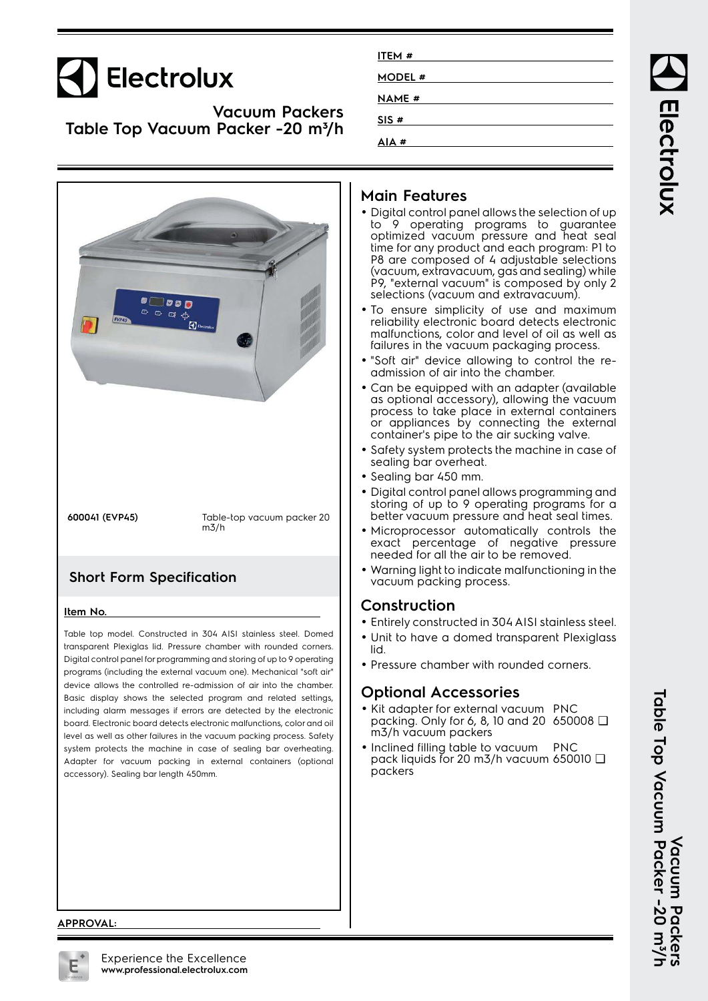# Electrolux

**Vacuum Packers Table Top Vacuum Packer -20 m³/h**

|                                                                                                                                                                                                                                                                                                                                                                                                                                                                                                                                                         | as. |
|---------------------------------------------------------------------------------------------------------------------------------------------------------------------------------------------------------------------------------------------------------------------------------------------------------------------------------------------------------------------------------------------------------------------------------------------------------------------------------------------------------------------------------------------------------|-----|
| $\begin{array}{lll} \bullet\hspace{-.2cm}\longrightarrow\hspace{-.2cm}\bullet\hspace{-.2cm}\bullet\hspace{-.2cm}\bullet\hspace{-.2cm}\bullet\hspace{-.2cm}\bullet\hspace{-.2cm}\bullet\hspace{-.2cm}\bullet\hspace{-.2cm}\bullet\hspace{-.2cm}\bullet\hspace{-.2cm}\bullet\hspace{-.2cm}\bullet\hspace{-.2cm}\bullet\hspace{-.2cm}\bullet\hspace{-.2cm}\bullet\hspace{-.2cm}\bullet\hspace{-.2cm}\bullet\hspace{-.2cm}\bullet\hspace{-.2cm}\bullet\hspace{-.2cm}\bullet\hspace{-.2cm}\bullet\hspace{-.2cm}\bullet\hspace{-.2cm}\bullet\hspace$<br>EVP45 |     |
|                                                                                                                                                                                                                                                                                                                                                                                                                                                                                                                                                         |     |

**600041 (EVP45)** Table-top vacuum packer 20 m3/h

### **Short Form Specification**

#### **Item No.**

Table top model. Constructed in 304 AISI stainless steel. Domed transparent Plexiglas lid. Pressure chamber with rounded corners. Digital control panel for programming and storing of up to 9 operating programs (including the external vacuum one). Mechanical "soft air" device allows the controlled re-admission of air into the chamber. Basic display shows the selected program and related settings, including alarm messages if errors are detected by the electronic board. Electronic board detects electronic malfunctions, color and oil level as well as other failures in the vacuum packing process. Safety system protects the machine in case of sealing bar overheating. Adapter for vacuum packing in external containers (optional accessory). Sealing bar length 450mm.

| ITEM#   |  |
|---------|--|
| MODEL # |  |
| NAME #  |  |
| SIS#    |  |
| AIA#    |  |

#### **Main Features**

- Digital control panel allows the selection of up to 9 operating programs to guarantee optimized vacuum pressure and heat seal time for any product and each program: P1 to P8 are composed of 4 adjustable selections (vacuum, extravacuum, gas and sealing) while P9, "external vacuum" is composed by only 2 selections (vacuum and extravacuum).
- To ensure simplicity of use and maximum reliability electronic board detects electronic malfunctions, color and level of oil as well as failures in the vacuum packaging process.
- "Soft air" device allowing to control the readmission of air into the chamber.
- Can be equipped with an adapter (available as optional accessory), allowing the vacuum process to take place in external containers or appliances by connecting the external container's pipe to the air sucking valve.
- Safety system protects the machine in case of sealing bar overheat.
- Sealing bar 450 mm.
- • Digital control panel allows programming and storing of up to 9 operating programs for a better vacuum pressure and heat seal times.
- Microprocessor automatically controls the exact percentage of negative pressure needed for all the air to be removed.
- • Warning light to indicate malfunctioning in the vacuum packing process.

#### **Construction**

- Entirely constructed in 304 AISI stainless steel.
- Unit to have a domed transparent Plexiglass lid.
- Pressure chamber with rounded corners.

### **Optional Accessories**

- Kit adapter for external vacuum PNC packing. Only for 6, 8, 10 and 20 650008 ❑ m3/h vacuum packers
- •• Inclined filling table to vacuum PNC pack liquids for 20 m3/h vacuum 650010 ❑packers

Electrolux

**Table Top Vacuum Packer -20 m³/h** Table Top Vacuum Packer -20 m<sup>3</sup>/h<br>Table Top Vacuum Packer -20 m<sup>3</sup>/h **Vacuum Packers**

#### **APPROVAL:**